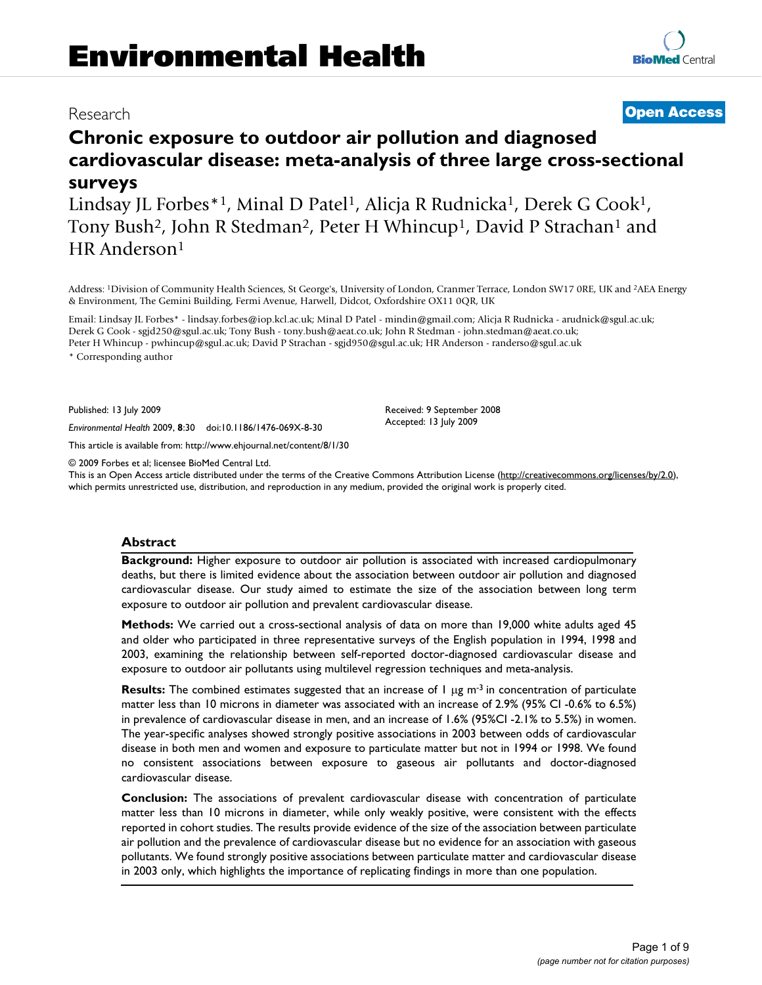# **Chronic exposure to outdoor air pollution and diagnosed cardiovascular disease: meta-analysis of three large cross-sectional surveys**

Lindsay JL Forbes\*<sup>1</sup>, Minal D Patel<sup>1</sup>, Alicja R Rudnicka<sup>1</sup>, Derek G Cook<sup>1</sup>, Tony Bush<sup>2</sup>, John R Stedman<sup>2</sup>, Peter H Whincup<sup>1</sup>, David P Strachan<sup>1</sup> and HR Anderson<sup>1</sup>

Address: 1Division of Community Health Sciences, St George's, University of London, Cranmer Terrace, London SW17 0RE, UK and 2AEA Energy & Environment, The Gemini Building, Fermi Avenue, Harwell, Didcot, Oxfordshire OX11 0QR, UK

Email: Lindsay JL Forbes\* - lindsay.forbes@iop.kcl.ac.uk; Minal D Patel - mindin@gmail.com; Alicja R Rudnicka - arudnick@sgul.ac.uk; Derek G Cook - sgjd250@sgul.ac.uk; Tony Bush - tony.bush@aeat.co.uk; John R Stedman - john.stedman@aeat.co.uk; Peter H Whincup - pwhincup@sgul.ac.uk; David P Strachan - sgjd950@sgul.ac.uk; HR Anderson - randerso@sgul.ac.uk

\* Corresponding author

Published: 13 July 2009

*Environmental Health* 2009, **8**:30 doi:10.1186/1476-069X-8-30

[This article is available from: http://www.ehjournal.net/content/8/1/30](http://www.ehjournal.net/content/8/1/30)

© 2009 Forbes et al; licensee BioMed Central Ltd.

This is an Open Access article distributed under the terms of the Creative Commons Attribution License [\(http://creativecommons.org/licenses/by/2.0\)](http://creativecommons.org/licenses/by/2.0), which permits unrestricted use, distribution, and reproduction in any medium, provided the original work is properly cited.

#### **Abstract**

**Background:** Higher exposure to outdoor air pollution is associated with increased cardiopulmonary deaths, but there is limited evidence about the association between outdoor air pollution and diagnosed cardiovascular disease. Our study aimed to estimate the size of the association between long term exposure to outdoor air pollution and prevalent cardiovascular disease.

**Methods:** We carried out a cross-sectional analysis of data on more than 19,000 white adults aged 45 and older who participated in three representative surveys of the English population in 1994, 1998 and 2003, examining the relationship between self-reported doctor-diagnosed cardiovascular disease and exposure to outdoor air pollutants using multilevel regression techniques and meta-analysis.

**Results:** The combined estimates suggested that an increase of 1 μg m-3 in concentration of particulate matter less than 10 microns in diameter was associated with an increase of 2.9% (95% CI -0.6% to 6.5%) in prevalence of cardiovascular disease in men, and an increase of 1.6% (95%CI -2.1% to 5.5%) in women. The year-specific analyses showed strongly positive associations in 2003 between odds of cardiovascular disease in both men and women and exposure to particulate matter but not in 1994 or 1998. We found no consistent associations between exposure to gaseous air pollutants and doctor-diagnosed cardiovascular disease.

**Conclusion:** The associations of prevalent cardiovascular disease with concentration of particulate matter less than 10 microns in diameter, while only weakly positive, were consistent with the effects reported in cohort studies. The results provide evidence of the size of the association between particulate air pollution and the prevalence of cardiovascular disease but no evidence for an association with gaseous pollutants. We found strongly positive associations between particulate matter and cardiovascular disease in 2003 only, which highlights the importance of replicating findings in more than one population.

## Research **[Open Access](http://www.biomedcentral.com/info/about/charter/)**

Received: 9 September 2008 Accepted: 13 July 2009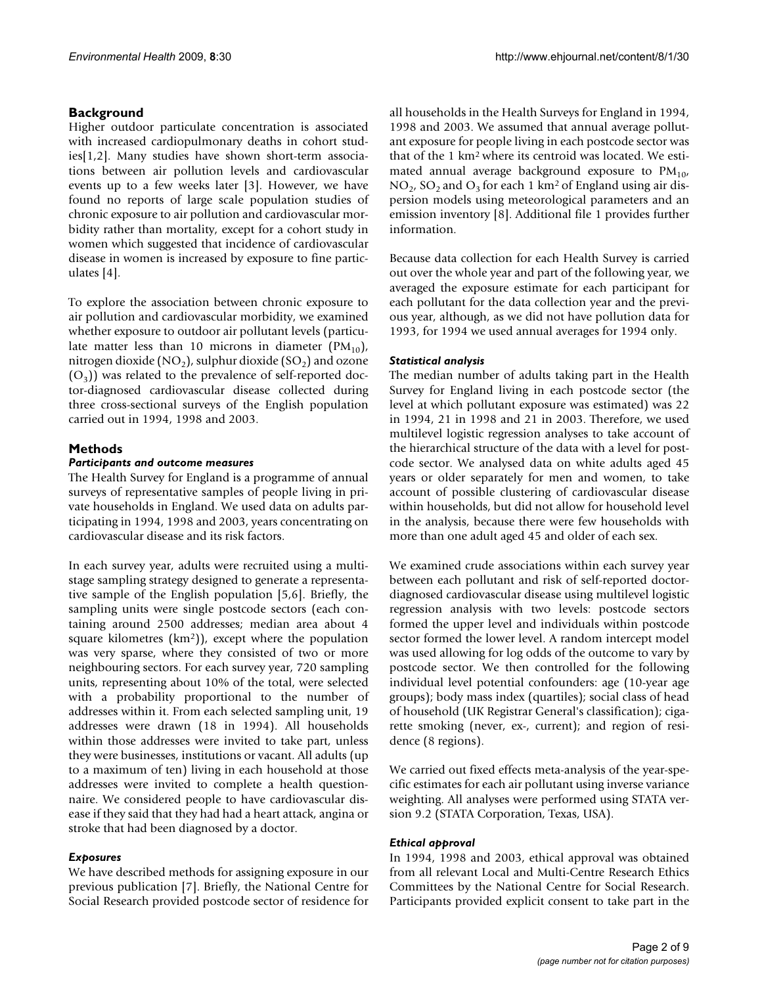#### **Background**

Higher outdoor particulate concentration is associated with increased cardiopulmonary deaths in cohort studies[1,2]. Many studies have shown short-term associations between air pollution levels and cardiovascular events up to a few weeks later [3]. However, we have found no reports of large scale population studies of chronic exposure to air pollution and cardiovascular morbidity rather than mortality, except for a cohort study in women which suggested that incidence of cardiovascular disease in women is increased by exposure to fine particulates [4].

To explore the association between chronic exposure to air pollution and cardiovascular morbidity, we examined whether exposure to outdoor air pollutant levels (particulate matter less than 10 microns in diameter  $(PM_{10})$ , nitrogen dioxide (NO<sub>2</sub>), sulphur dioxide (SO<sub>2</sub>) and ozone  $(O_3)$ ) was related to the prevalence of self-reported doctor-diagnosed cardiovascular disease collected during three cross-sectional surveys of the English population carried out in 1994, 1998 and 2003.

#### **Methods**

#### *Participants and outcome measures*

The Health Survey for England is a programme of annual surveys of representative samples of people living in private households in England. We used data on adults participating in 1994, 1998 and 2003, years concentrating on cardiovascular disease and its risk factors.

In each survey year, adults were recruited using a multistage sampling strategy designed to generate a representative sample of the English population [5,6]. Briefly, the sampling units were single postcode sectors (each containing around 2500 addresses; median area about 4 square kilometres  $(km<sup>2</sup>)$ , except where the population was very sparse, where they consisted of two or more neighbouring sectors. For each survey year, 720 sampling units, representing about 10% of the total, were selected with a probability proportional to the number of addresses within it. From each selected sampling unit, 19 addresses were drawn (18 in 1994). All households within those addresses were invited to take part, unless they were businesses, institutions or vacant. All adults (up to a maximum of ten) living in each household at those addresses were invited to complete a health questionnaire. We considered people to have cardiovascular disease if they said that they had had a heart attack, angina or stroke that had been diagnosed by a doctor.

#### *Exposures*

We have described methods for assigning exposure in our previous publication [7]. Briefly, the National Centre for Social Research provided postcode sector of residence for all households in the Health Surveys for England in 1994, 1998 and 2003. We assumed that annual average pollutant exposure for people living in each postcode sector was that of the 1 km2 where its centroid was located. We estimated annual average background exposure to  $PM_{10}$ , NO<sub>2</sub>, SO<sub>2</sub> and O<sub>3</sub> for each 1 km<sup>2</sup> of England using air dispersion models using meteorological parameters and an emission inventory [8]. Additional file 1 provides further information.

Because data collection for each Health Survey is carried out over the whole year and part of the following year, we averaged the exposure estimate for each participant for each pollutant for the data collection year and the previous year, although, as we did not have pollution data for 1993, for 1994 we used annual averages for 1994 only.

#### *Statistical analysis*

The median number of adults taking part in the Health Survey for England living in each postcode sector (the level at which pollutant exposure was estimated) was 22 in 1994, 21 in 1998 and 21 in 2003. Therefore, we used multilevel logistic regression analyses to take account of the hierarchical structure of the data with a level for postcode sector. We analysed data on white adults aged 45 years or older separately for men and women, to take account of possible clustering of cardiovascular disease within households, but did not allow for household level in the analysis, because there were few households with more than one adult aged 45 and older of each sex.

We examined crude associations within each survey year between each pollutant and risk of self-reported doctordiagnosed cardiovascular disease using multilevel logistic regression analysis with two levels: postcode sectors formed the upper level and individuals within postcode sector formed the lower level. A random intercept model was used allowing for log odds of the outcome to vary by postcode sector. We then controlled for the following individual level potential confounders: age (10-year age groups); body mass index (quartiles); social class of head of household (UK Registrar General's classification); cigarette smoking (never, ex-, current); and region of residence (8 regions).

We carried out fixed effects meta-analysis of the year-specific estimates for each air pollutant using inverse variance weighting. All analyses were performed using STATA version 9.2 (STATA Corporation, Texas, USA).

#### *Ethical approval*

In 1994, 1998 and 2003, ethical approval was obtained from all relevant Local and Multi-Centre Research Ethics Committees by the National Centre for Social Research. Participants provided explicit consent to take part in the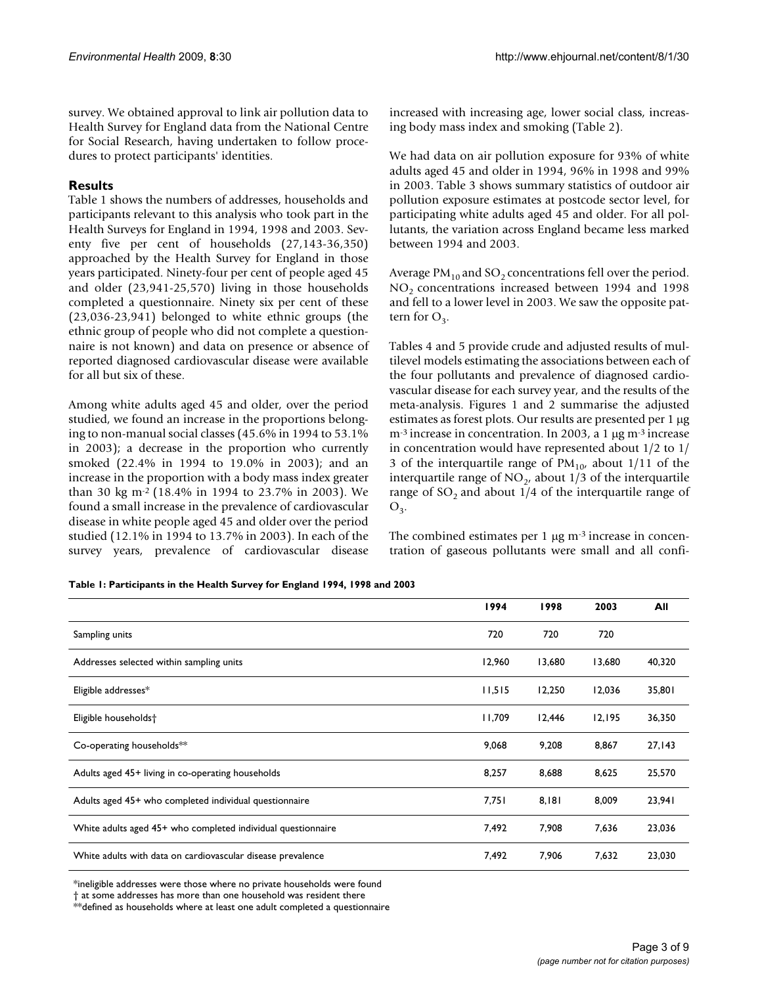survey. We obtained approval to link air pollution data to Health Survey for England data from the National Centre for Social Research, having undertaken to follow procedures to protect participants' identities.

#### **Results**

Table 1 shows the numbers of addresses, households and participants relevant to this analysis who took part in the Health Surveys for England in 1994, 1998 and 2003. Seventy five per cent of households (27,143-36,350) approached by the Health Survey for England in those years participated. Ninety-four per cent of people aged 45 and older (23,941-25,570) living in those households completed a questionnaire. Ninety six per cent of these (23,036-23,941) belonged to white ethnic groups (the ethnic group of people who did not complete a questionnaire is not known) and data on presence or absence of reported diagnosed cardiovascular disease were available for all but six of these.

Among white adults aged 45 and older, over the period studied, we found an increase in the proportions belonging to non-manual social classes (45.6% in 1994 to 53.1% in 2003); a decrease in the proportion who currently smoked (22.4% in 1994 to 19.0% in 2003); and an increase in the proportion with a body mass index greater than 30 kg m-2 (18.4% in 1994 to 23.7% in 2003). We found a small increase in the prevalence of cardiovascular disease in white people aged 45 and older over the period studied (12.1% in 1994 to 13.7% in 2003). In each of the survey years, prevalence of cardiovascular disease increased with increasing age, lower social class, increasing body mass index and smoking (Table 2).

We had data on air pollution exposure for 93% of white adults aged 45 and older in 1994, 96% in 1998 and 99% in 2003. Table 3 shows summary statistics of outdoor air pollution exposure estimates at postcode sector level, for participating white adults aged 45 and older. For all pollutants, the variation across England became less marked between 1994 and 2003.

Average  $PM_{10}$  and SO<sub>2</sub> concentrations fell over the period.  $NO<sub>2</sub>$  concentrations increased between 1994 and 1998 and fell to a lower level in 2003. We saw the opposite pattern for  $O_3$ .

Tables 4 and 5 provide crude and adjusted results of multilevel models estimating the associations between each of the four pollutants and prevalence of diagnosed cardiovascular disease for each survey year, and the results of the meta-analysis. Figures 1 and 2 summarise the adjusted estimates as forest plots. Our results are presented per 1 μg m<sup>-3</sup> increase in concentration. In 2003, a 1 μg m<sup>-3</sup> increase in concentration would have represented about 1/2 to 1/ 3 of the interquartile range of  $PM_{10}$ , about 1/11 of the interquartile range of  $NO<sub>2</sub>$ , about 1/3 of the interquartile range of  $SO_2$  and about 1/4 of the interquartile range of  $O<sub>3</sub>$ .

The combined estimates per 1  $\mu$ g m<sup>-3</sup> increase in concentration of gaseous pollutants were small and all confi-

|                                                              | 1994   | 1998   | 2003   | All    |
|--------------------------------------------------------------|--------|--------|--------|--------|
| Sampling units                                               | 720    | 720    | 720    |        |
| Addresses selected within sampling units                     | 12,960 | 13,680 | 13,680 | 40,320 |
| Eligible addresses*                                          | 11,515 | 12,250 | 12,036 | 35,801 |
| Eligible households <sup>+</sup>                             | 11,709 | 12,446 | 12,195 | 36,350 |
| Co-operating households**                                    | 9,068  | 9,208  | 8,867  | 27,143 |
| Adults aged 45+ living in co-operating households            | 8,257  | 8,688  | 8,625  | 25,570 |
| Adults aged 45+ who completed individual questionnaire       | 7,751  | 8,181  | 8,009  | 23,941 |
| White adults aged 45+ who completed individual questionnaire | 7,492  | 7,908  | 7,636  | 23,036 |
| White adults with data on cardiovascular disease prevalence  | 7,492  | 7,906  | 7,632  | 23,030 |

\*ineligible addresses were those where no private households were found

† at some addresses has more than one household was resident there

\*\*defined as households where at least one adult completed a questionnaire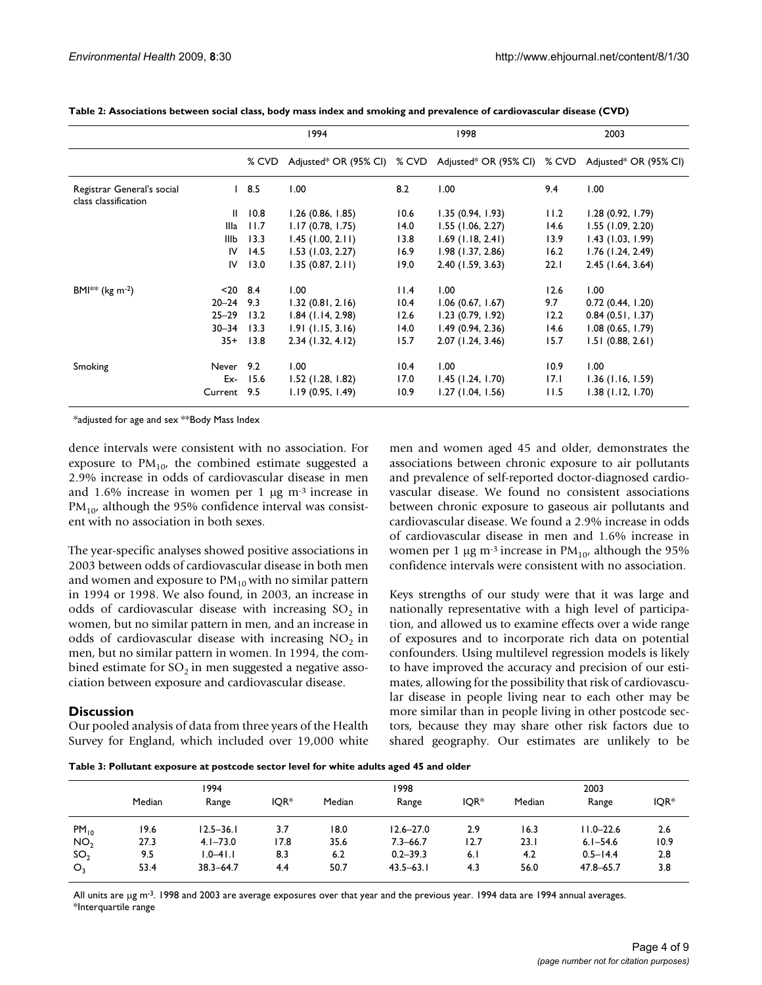|                                                    |               |       | 1994                |      | 1998                                                                          | 2003 |                     |  |
|----------------------------------------------------|---------------|-------|---------------------|------|-------------------------------------------------------------------------------|------|---------------------|--|
|                                                    |               | % CVD |                     |      | Adjusted* OR (95% CI) % CVD Adjusted* OR (95% CI) % CVD Adjusted* OR (95% CI) |      |                     |  |
| Registrar General's social<br>class classification |               | 18.5  | 00.1                | 8.2  | 00.1                                                                          | 9.4  | 00.1                |  |
|                                                    | Ш.            | 10.8  | 1.26(0.86, 1.85)    | 10.6 | 1.35(0.94, 1.93)                                                              | 11.2 | 1.28(0.92, 1.79)    |  |
|                                                    | Illa          | 11.7  | 1.17(0.78, 1.75)    | 14.0 | $1.55$ (1.06, 2.27)                                                           | 14.6 | $1.55$ (1.09, 2.20) |  |
|                                                    | IIIb          | 13.3  | $1.45$ (1.00, 2.11) | 13.8 | $1.69$ (1.18, 2.41)                                                           | 13.9 | $1.43$ (1.03, 1.99) |  |
|                                                    | IV            | 14.5  | $1.53$ (1.03, 2.27) | 16.9 | 1.98(1.37, 2.86)                                                              | 16.2 | $1.76$ (1.24, 2.49) |  |
|                                                    | IV            | 13.0  | 1.35(0.87, 2.11)    | 19.0 | $2.40$ (1.59, 3.63)                                                           | 22.1 | 2.45 (1.64, 3.64)   |  |
| $BMI** (kg m-2)$                                   | $20$          | 8.4   | 00.1                | 11.4 | 1.00                                                                          | 12.6 | 00.1                |  |
|                                                    | $20 - 24$ 9.3 |       | 1.32(0.81, 2.16)    | 10.4 | $1.06$ (0.67, 1.67)                                                           | 9.7  | 0.72(0.44, 1.20)    |  |
|                                                    | $25 - 29$     | 13.2  | $1.84$ (1.14, 2.98) | 12.6 | 1.23(0.79, 1.92)                                                              | 12.2 | 0.84(0.51, 1.37)    |  |
|                                                    | $30 - 34$     | 13.3  | 1.91(1.15, 3.16)    | 4.0  | 1.49(0.94, 2.36)                                                              | 14.6 | 1.08(0.65, 1.79)    |  |
|                                                    | $35+$         | 13.8  | 2.34(1.32, 4.12)    | 15.7 | 2.07 (1.24, 3.46)                                                             | 15.7 | 1.51(0.88, 2.61)    |  |
| Smoking                                            | Never         | 9.2   | 1.00                | 10.4 | 1.00                                                                          | 10.9 | 00.1                |  |
|                                                    | Ex-           | 15.6  | $1.52$ (1.28, 1.82) | 17.0 | 1.45(1.24, 1.70)                                                              | 17.1 | $1.36$ (1.16, 1.59) |  |
|                                                    | Current       | 9.5   | 1.19(0.95, 1.49)    | 10.9 | 1.27 (1.04, 1.56)                                                             | 11.5 | 1.38(1.12, 1.70)    |  |

**Table 2: Associations between social class, body mass index and smoking and prevalence of cardiovascular disease (CVD)**

\*adjusted for age and sex \*\*Body Mass Index

dence intervals were consistent with no association. For exposure to  $PM_{10}$ , the combined estimate suggested a 2.9% increase in odds of cardiovascular disease in men and 1.6% increase in women per 1 μg m-3 increase in  $PM_{10}$ , although the 95% confidence interval was consistent with no association in both sexes.

The year-specific analyses showed positive associations in 2003 between odds of cardiovascular disease in both men and women and exposure to  $PM_{10}$  with no similar pattern in 1994 or 1998. We also found, in 2003, an increase in odds of cardiovascular disease with increasing  $SO_2$  in women, but no similar pattern in men, and an increase in odds of cardiovascular disease with increasing  $NO<sub>2</sub>$  in men, but no similar pattern in women. In 1994, the combined estimate for  $SO_2$  in men suggested a negative association between exposure and cardiovascular disease.

#### **Discussion**

Our pooled analysis of data from three years of the Health Survey for England, which included over 19,000 white men and women aged 45 and older, demonstrates the associations between chronic exposure to air pollutants and prevalence of self-reported doctor-diagnosed cardiovascular disease. We found no consistent associations between chronic exposure to gaseous air pollutants and cardiovascular disease. We found a 2.9% increase in odds of cardiovascular disease in men and 1.6% increase in women per 1 μg m<sup>-3</sup> increase in  $PM_{10}$ , although the 95% confidence intervals were consistent with no association.

Keys strengths of our study were that it was large and nationally representative with a high level of participation, and allowed us to examine effects over a wide range of exposures and to incorporate rich data on potential confounders. Using multilevel regression models is likely to have improved the accuracy and precision of our estimates, allowing for the possibility that risk of cardiovascular disease in people living near to each other may be more similar than in people living in other postcode sectors, because they may share other risk factors due to shared geography. Our estimates are unlikely to be

| Table 3: Pollutant exposure at postcode sector level for white adults aged 45 and older |  |  |
|-----------------------------------------------------------------------------------------|--|--|
|                                                                                         |  |  |

|                 | 1994   |               |      | 1998   |               |        | 2003   |               |      |  |
|-----------------|--------|---------------|------|--------|---------------|--------|--------|---------------|------|--|
|                 | Median | Range         | IQR* | Median | Range         | $IQR*$ | Median | Range         | IQR* |  |
| $PM_{10}$       | 19.6   | $12.5 - 36.1$ | 3.7  | 18.0   | $12.6 - 27.0$ | 2.9    | 16.3   | $11.0 - 22.6$ | 2.6  |  |
| NO <sub>2</sub> | 27.3   | $4.1 - 73.0$  | 17.8 | 35.6   | $7.3 - 66.7$  | 12.7   | 23.1   | $6.1 - 54.6$  | 10.9 |  |
| SO <sub>2</sub> | 9.5    | $1.0 - 41.1$  | 8.3  | 6.2    | $0.2 - 39.3$  | 6.1    | 4.2    | $0.5 - 14.4$  | 2.8  |  |
| O <sub>3</sub>  | 53.4   | $38.3 - 64.7$ | 4.4  | 50.7   | $43.5 - 63.1$ | 4.3    | 56.0   | 47.8-65.7     | 3.8  |  |

All units are μg m-3. 1998 and 2003 are average exposures over that year and the previous year. 1994 data are 1994 annual averages. \*Interquartile range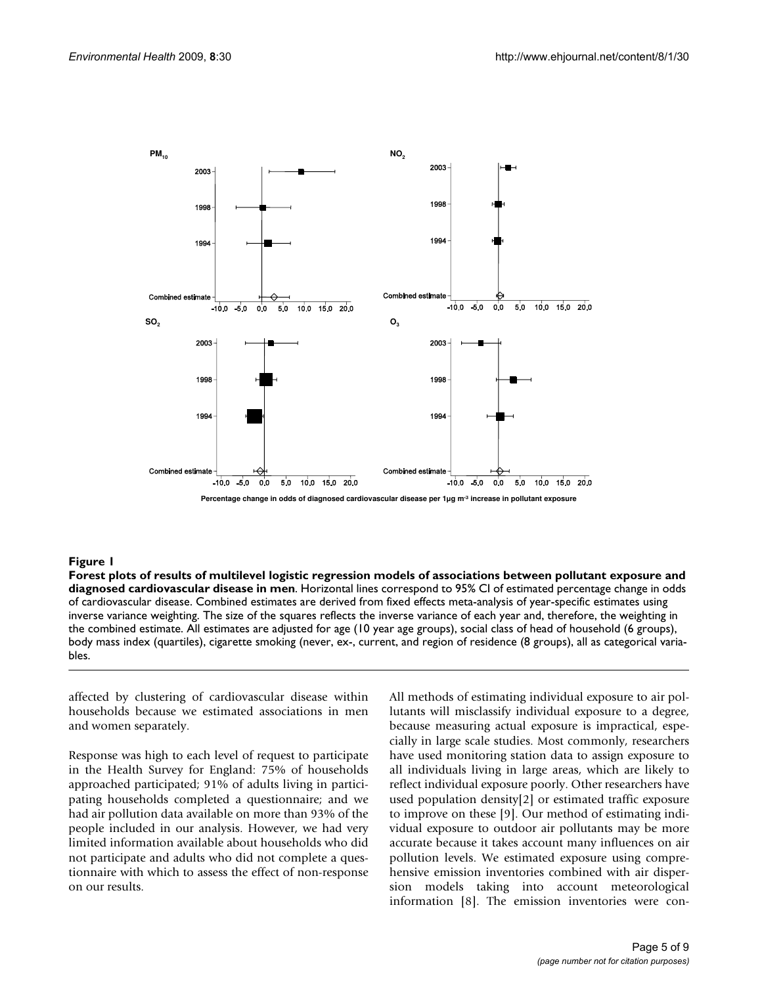

#### Forest plots of results of multilevel logistic regression models ovascular disease in men **Figure 1** of associations between pollutant exposure and diagnosed cardi-

**Forest plots of results of multilevel logistic regression models of associations between pollutant exposure and diagnosed cardiovascular disease in men**. Horizontal lines correspond to 95% CI of estimated percentage change in odds of cardiovascular disease. Combined estimates are derived from fixed effects meta-analysis of year-specific estimates using inverse variance weighting. The size of the squares reflects the inverse variance of each year and, therefore, the weighting in the combined estimate. All estimates are adjusted for age (10 year age groups), social class of head of household (6 groups), body mass index (quartiles), cigarette smoking (never, ex-, current, and region of residence (8 groups), all as categorical variables.

affected by clustering of cardiovascular disease within households because we estimated associations in men and women separately.

Response was high to each level of request to participate in the Health Survey for England: 75% of households approached participated; 91% of adults living in participating households completed a questionnaire; and we had air pollution data available on more than 93% of the people included in our analysis. However, we had very limited information available about households who did not participate and adults who did not complete a questionnaire with which to assess the effect of non-response on our results.

All methods of estimating individual exposure to air pollutants will misclassify individual exposure to a degree, because measuring actual exposure is impractical, especially in large scale studies. Most commonly, researchers have used monitoring station data to assign exposure to all individuals living in large areas, which are likely to reflect individual exposure poorly. Other researchers have used population density[2] or estimated traffic exposure to improve on these [9]. Our method of estimating individual exposure to outdoor air pollutants may be more accurate because it takes account many influences on air pollution levels. We estimated exposure using comprehensive emission inventories combined with air dispersion models taking into account meteorological information [8]. The emission inventories were con-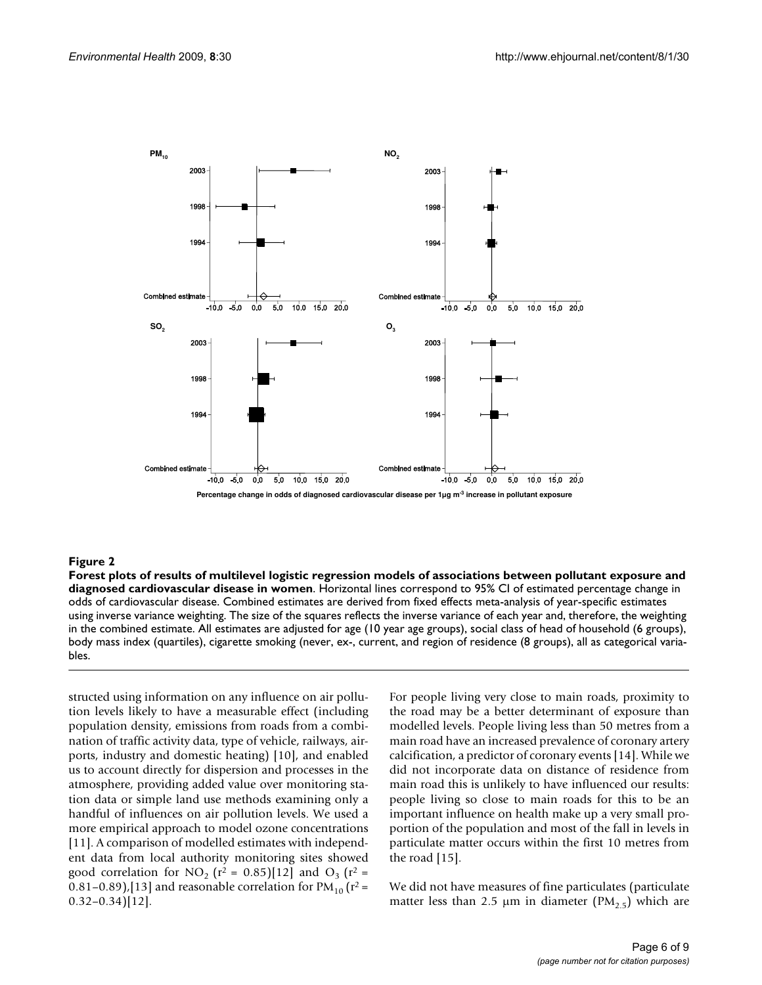

#### Forest plots of results of multilevel logistic regression models ovascular disease in women **Figure 2** of associations between pollutant exposure and diagnosed cardi-

**Forest plots of results of multilevel logistic regression models of associations between pollutant exposure and diagnosed cardiovascular disease in women**. Horizontal lines correspond to 95% CI of estimated percentage change in odds of cardiovascular disease. Combined estimates are derived from fixed effects meta-analysis of year-specific estimates using inverse variance weighting. The size of the squares reflects the inverse variance of each year and, therefore, the weighting in the combined estimate. All estimates are adjusted for age (10 year age groups), social class of head of household (6 groups), body mass index (quartiles), cigarette smoking (never, ex-, current, and region of residence (8 groups), all as categorical variables.

structed using information on any influence on air pollution levels likely to have a measurable effect (including population density, emissions from roads from a combination of traffic activity data, type of vehicle, railways, airports, industry and domestic heating) [10], and enabled us to account directly for dispersion and processes in the atmosphere, providing added value over monitoring station data or simple land use methods examining only a handful of influences on air pollution levels. We used a more empirical approach to model ozone concentrations [11]. A comparison of modelled estimates with independent data from local authority monitoring sites showed good correlation for NO<sub>2</sub> ( $r^2$  = 0.85)[12] and O<sub>3</sub> ( $r^2$  = 0.81–0.89),[13] and reasonable correlation for  $PM_{10}$  ( $r^2$  =  $0.32 - 0.34$ ][12].

For people living very close to main roads, proximity to the road may be a better determinant of exposure than modelled levels. People living less than 50 metres from a main road have an increased prevalence of coronary artery calcification, a predictor of coronary events [14]. While we did not incorporate data on distance of residence from main road this is unlikely to have influenced our results: people living so close to main roads for this to be an important influence on health make up a very small proportion of the population and most of the fall in levels in particulate matter occurs within the first 10 metres from the road [15].

We did not have measures of fine particulates (particulate matter less than 2.5  $\mu$ m in diameter (PM<sub>2.5</sub>) which are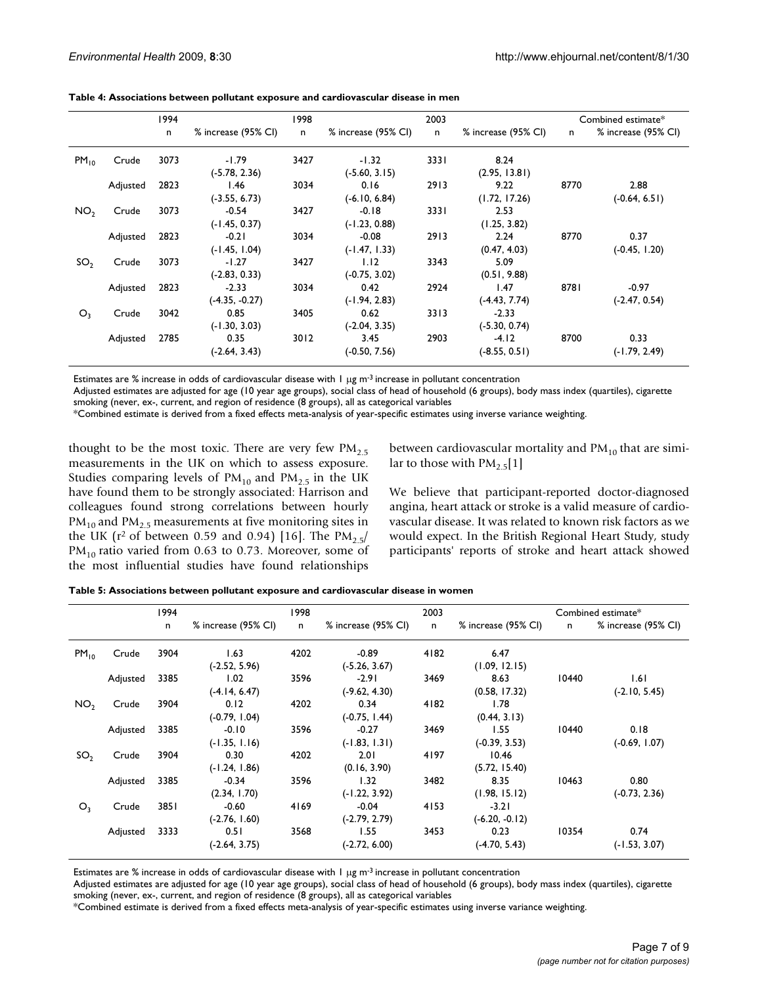|                 |          | 1994 | 1998                |              |                     | 2003         |                     | Combined estimate* |                     |  |
|-----------------|----------|------|---------------------|--------------|---------------------|--------------|---------------------|--------------------|---------------------|--|
|                 |          | n    | % increase (95% CI) | $\mathsf{n}$ | % increase (95% CI) | $\mathsf{n}$ | % increase (95% CI) | $\mathsf{n}$       | % increase (95% CI) |  |
| $PM_{10}$       | Crude    | 3073 | $-1.79$             | 3427         | $-1.32$             | 3331         | 8.24                |                    |                     |  |
|                 |          |      | $(-5.78, 2.36)$     |              | $(-5.60, 3.15)$     |              | (2.95, 13.81)       |                    |                     |  |
|                 | Adjusted | 2823 | 1.46                | 3034         | 0.16                | 2913         | 9.22                | 8770               | 2.88                |  |
|                 |          |      | $(-3.55, 6.73)$     |              | $(-6.10, 6.84)$     |              | (1.72, 17.26)       |                    | $(-0.64, 6.51)$     |  |
| NO <sub>2</sub> | Crude    | 3073 | $-0.54$             | 3427         | $-0.18$             | 333 I        | 2.53                |                    |                     |  |
|                 |          |      | $(-1.45, 0.37)$     |              | $(-1.23, 0.88)$     |              | (1.25, 3.82)        |                    |                     |  |
|                 | Adjusted | 2823 | $-0.21$             | 3034         | $-0.08$             | 2913         | 2.24                | 8770               | 0.37                |  |
|                 |          |      | $(-1.45, 1.04)$     |              | $(-1.47, 1.33)$     |              | (0.47, 4.03)        |                    | $(-0.45, 1.20)$     |  |
| SO <sub>2</sub> | Crude    | 3073 | $-1.27$             | 3427         | 1.12                | 3343         | 5.09                |                    |                     |  |
|                 |          |      | $(-2.83, 0.33)$     |              | $(-0.75, 3.02)$     |              | (0.51, 9.88)        |                    |                     |  |
|                 | Adjusted | 2823 | $-2.33$             | 3034         | 0.42                | 2924         | 1.47                | 8781               | $-0.97$             |  |
|                 |          |      | $(-4.35, -0.27)$    |              | $(-1.94, 2.83)$     |              | $(-4.43, 7.74)$     |                    | $(-2.47, 0.54)$     |  |
| $O_3$           | Crude    | 3042 | 0.85                | 3405         | 0.62                | 3313         | $-2.33$             |                    |                     |  |
|                 |          |      | $(-1.30, 3.03)$     |              | $(-2.04, 3.35)$     |              | $(-5.30, 0.74)$     |                    |                     |  |
|                 | Adjusted | 2785 | 0.35                | 3012         | 3.45                | 2903         | $-4.12$             | 8700               | 0.33                |  |
|                 |          |      | $(-2.64, 3.43)$     |              | $(-0.50, 7.56)$     |              | $(-8.55, 0.51)$     |                    | $(-1.79, 2.49)$     |  |

**Table 4: Associations between pollutant exposure and cardiovascular disease in men**

Estimates are % increase in odds of cardiovascular disease with  $1 \mu g$  m<sup>-3</sup> increase in pollutant concentration

Adjusted estimates are adjusted for age (10 year age groups), social class of head of household (6 groups), body mass index (quartiles), cigarette smoking (never, ex-, current, and region of residence (8 groups), all as categorical variables

\*Combined estimate is derived from a fixed effects meta-analysis of year-specific estimates using inverse variance weighting.

thought to be the most toxic. There are very few  $PM_{2.5}$ measurements in the UK on which to assess exposure. Studies comparing levels of  $PM_{10}$  and  $PM_{2.5}$  in the UK have found them to be strongly associated: Harrison and colleagues found strong correlations between hourly  $PM_{10}$  and  $PM_{2.5}$  measurements at five monitoring sites in the UK ( $r^2$  of between 0.59 and 0.94) [16]. The PM<sub>2.5</sub>/  $PM_{10}$  ratio varied from 0.63 to 0.73. Moreover, some of the most influential studies have found relationships between cardiovascular mortality and  $PM_{10}$  that are similar to those with  $PM_{2.5}[1]$ 

We believe that participant-reported doctor-diagnosed angina, heart attack or stroke is a valid measure of cardiovascular disease. It was related to known risk factors as we would expect. In the British Regional Heart Study, study participants' reports of stroke and heart attack showed

**Table 5: Associations between pollutant exposure and cardiovascular disease in women**

|                   |          | 1994 |                     | 1998         |                     | 2003         |                     |       | Combined estimate*  |
|-------------------|----------|------|---------------------|--------------|---------------------|--------------|---------------------|-------|---------------------|
|                   |          | n    | % increase (95% CI) | $\mathsf{n}$ | % increase (95% CI) | $\mathsf{n}$ | % increase (95% CI) | n     | % increase (95% CI) |
| $PM_{10}$         | Crude    | 3904 | 1.63                | 4202         | $-0.89$             | 4182         | 6.47                |       |                     |
|                   |          |      | $(-2.52, 5.96)$     |              | $(-5.26, 3.67)$     |              | (1.09, 12.15)       |       |                     |
|                   | Adjusted | 3385 | 1.02                | 3596         | $-2.91$             | 3469         | 8.63                | 10440 | 1.61                |
|                   |          |      | $(-4.14, 6.47)$     |              | $(-9.62, 4.30)$     |              | (0.58, 17.32)       |       | $(-2.10, 5.45)$     |
| NO <sub>2</sub>   | Crude    | 3904 | 0.12                | 4202         | 0.34                | 4182         | 1.78                |       |                     |
|                   |          |      | $(-0.79, 1.04)$     |              | $(-0.75, 1.44)$     |              | (0.44, 3.13)        |       |                     |
|                   | Adjusted | 3385 | $-0.10$             | 3596         | $-0.27$             | 3469         | 1.55                | 10440 | 0.18                |
|                   |          |      | $(-1.35, 1.16)$     |              | $(-1.83, 1.31)$     |              | $(-0.39, 3.53)$     |       | $(-0.69, 1.07)$     |
| SO <sub>2</sub>   | Crude    | 3904 | 0.30                | 4202         | 2.01                | 4197         | 10.46               |       |                     |
|                   |          |      | $(-1.24, 1.86)$     |              | (0.16, 3.90)        |              | (5.72, 15.40)       |       |                     |
|                   | Adjusted | 3385 | $-0.34$             | 3596         | 1.32                | 3482         | 8.35                | 10463 | 0.80                |
|                   |          |      | (2.34, 1.70)        |              | $(-1.22, 3.92)$     |              | (1.98, 15.12)       |       | $(-0.73, 2.36)$     |
| $O_{\mathcal{R}}$ | Crude    | 3851 | $-0.60$             | 4169         | $-0.04$             | 4153         | $-3.21$             |       |                     |
|                   |          |      | $(-2.76, 1.60)$     |              | $(-2.79, 2.79)$     |              | $(-6.20, -0.12)$    |       |                     |
|                   | Adjusted | 3333 | 0.51                | 3568         | 1.55                | 3453         | 0.23                | 10354 | 0.74                |
|                   |          |      | $(-2.64, 3.75)$     |              | $(-2.72, 6.00)$     |              | $(-4.70, 5.43)$     |       | $(-1.53, 3.07)$     |

Estimates are % increase in odds of cardiovascular disease with  $1 \mu g$  m<sup>-3</sup> increase in pollutant concentration

Adjusted estimates are adjusted for age (10 year age groups), social class of head of household (6 groups), body mass index (quartiles), cigarette smoking (never, ex-, current, and region of residence (8 groups), all as categorical variables

\*Combined estimate is derived from a fixed effects meta-analysis of year-specific estimates using inverse variance weighting.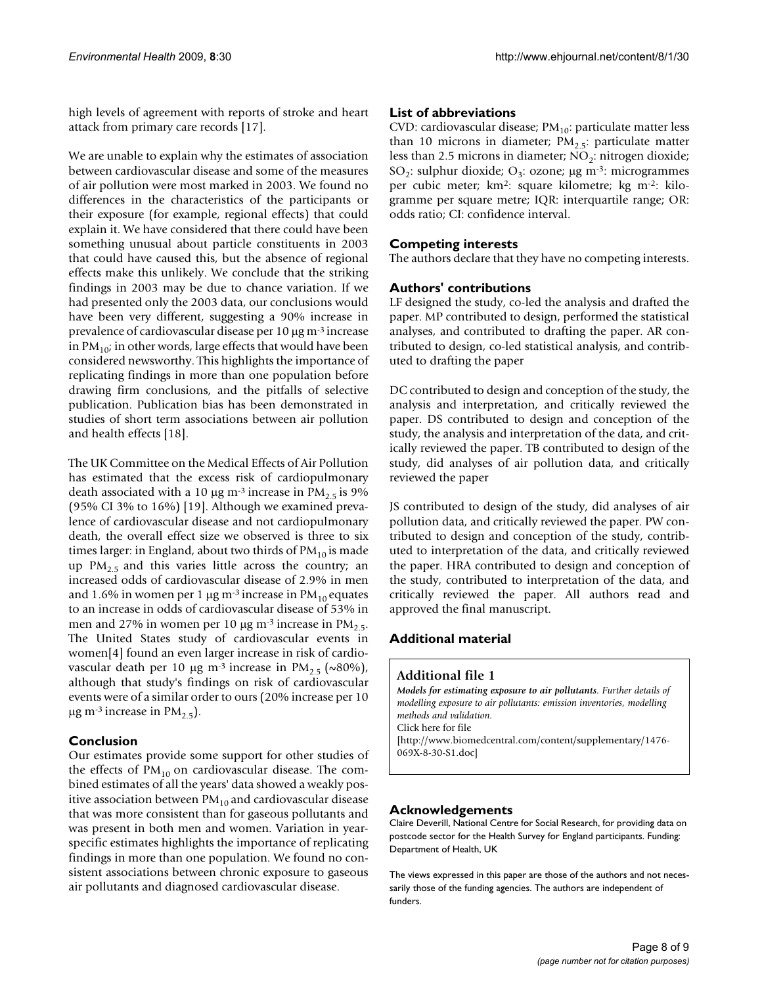high levels of agreement with reports of stroke and heart attack from primary care records [17].

We are unable to explain why the estimates of association between cardiovascular disease and some of the measures of air pollution were most marked in 2003. We found no differences in the characteristics of the participants or their exposure (for example, regional effects) that could explain it. We have considered that there could have been something unusual about particle constituents in 2003 that could have caused this, but the absence of regional effects make this unlikely. We conclude that the striking findings in 2003 may be due to chance variation. If we had presented only the 2003 data, our conclusions would have been very different, suggesting a 90% increase in prevalence of cardiovascular disease per 10 μg m-3 increase in  $PM_{10i}$  in other words, large effects that would have been considered newsworthy. This highlights the importance of replicating findings in more than one population before drawing firm conclusions, and the pitfalls of selective publication. Publication bias has been demonstrated in studies of short term associations between air pollution and health effects [18].

The UK Committee on the Medical Effects of Air Pollution has estimated that the excess risk of cardiopulmonary death associated with a 10  $\mu$ g m<sup>-3</sup> increase in PM<sub>2.5</sub> is 9% (95% CI 3% to 16%) [19]. Although we examined prevalence of cardiovascular disease and not cardiopulmonary death, the overall effect size we observed is three to six times larger: in England, about two thirds of  $PM_{10}$  is made up  $PM_{2,5}$  and this varies little across the country; an increased odds of cardiovascular disease of 2.9% in men and 1.6% in women per 1  $\mu$ g m<sup>-3</sup> increase in PM<sub>10</sub> equates to an increase in odds of cardiovascular disease of 53% in men and 27% in women per 10 μg m<sup>-3</sup> increase in  $PM_{2.5}$ . The United States study of cardiovascular events in women[4] found an even larger increase in risk of cardiovascular death per 10 μg m<sup>-3</sup> increase in PM<sub>2.5</sub> (~80%), although that study's findings on risk of cardiovascular events were of a similar order to ours (20% increase per 10 μg m<sup>-3</sup> increase in PM<sub>2.5</sub>).

### **Conclusion**

Our estimates provide some support for other studies of the effects of  $PM_{10}$  on cardiovascular disease. The combined estimates of all the years' data showed a weakly positive association between  $PM_{10}$  and cardiovascular disease that was more consistent than for gaseous pollutants and was present in both men and women. Variation in yearspecific estimates highlights the importance of replicating findings in more than one population. We found no consistent associations between chronic exposure to gaseous air pollutants and diagnosed cardiovascular disease.

#### **List of abbreviations**

CVD: cardiovascular disease;  $PM_{10}$ : particulate matter less than 10 microns in diameter;  $PM<sub>2.5</sub>$ : particulate matter less than 2.5 microns in diameter;  $NO<sub>2</sub>$ : nitrogen dioxide; SO<sub>2</sub>: sulphur dioxide; O<sub>3</sub>: ozone; μg m<sup>-3</sup>: microgrammes per cubic meter; km2: square kilometre; kg m-2: kilogramme per square metre; IQR: interquartile range; OR: odds ratio; CI: confidence interval.

#### **Competing interests**

The authors declare that they have no competing interests.

#### **Authors' contributions**

LF designed the study, co-led the analysis and drafted the paper. MP contributed to design, performed the statistical analyses, and contributed to drafting the paper. AR contributed to design, co-led statistical analysis, and contributed to drafting the paper

DC contributed to design and conception of the study, the analysis and interpretation, and critically reviewed the paper. DS contributed to design and conception of the study, the analysis and interpretation of the data, and critically reviewed the paper. TB contributed to design of the study, did analyses of air pollution data, and critically reviewed the paper

JS contributed to design of the study, did analyses of air pollution data, and critically reviewed the paper. PW contributed to design and conception of the study, contributed to interpretation of the data, and critically reviewed the paper. HRA contributed to design and conception of the study, contributed to interpretation of the data, and critically reviewed the paper. All authors read and approved the final manuscript.

### **Additional material**

#### **Additional file 1**

*Models for estimating exposure to air pollutants. Further details of modelling exposure to air pollutants: emission inventories, modelling methods and validation.* Click here for file [\[http://www.biomedcentral.com/content/supplementary/1476-](http://www.biomedcentral.com/content/supplementary/1476-069X-8-30-S1.doc) 069X-8-30-S1.doc]

#### **Acknowledgements**

Claire Deverill, National Centre for Social Research, for providing data on postcode sector for the Health Survey for England participants. Funding: Department of Health, UK

The views expressed in this paper are those of the authors and not necessarily those of the funding agencies. The authors are independent of funders.